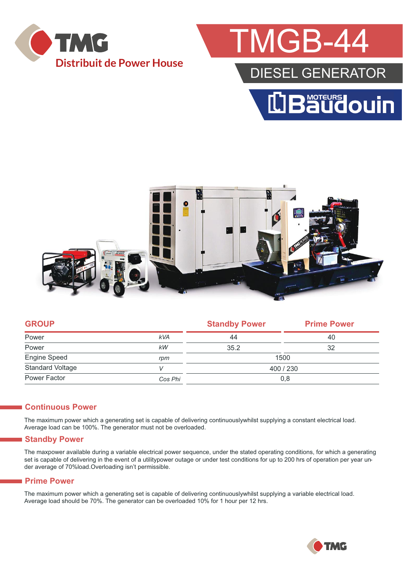

## **TMGB-4**

### DIESEL GENERATOR





|            | <b>Standby Power</b> | <b>Prime Power</b> |  |  |
|------------|----------------------|--------------------|--|--|
| <b>kVA</b> | 44                   | 40                 |  |  |
| kW         | 35.2                 | 32                 |  |  |
| rpm        | 1500                 |                    |  |  |
|            | 400 / 230            |                    |  |  |
| Cos Phi    | 0,8                  |                    |  |  |
|            |                      |                    |  |  |

#### **Continuous Power**

The maximum power which a generating set is capable of delivering continuouslywhilst supplying a constant electrical load. Average load can be 100%. The generator must not be overloaded.

#### **Standby Power**

The maxpower available during a variable electrical power sequence, under the stated operating conditions, for which a generating set is capable of delivering in the event of a utilitypower outage or under test conditions for up to 200 hrs of operation per year under average of 70%load.Overloading isn't permissible.

#### **Prime Power**

The maximum power which a generating set is capable of delivering continuouslywhilst supplying a variable electrical load. Average load should be 70%. The generator can be overloaded 10% for 1 hour per 12 hrs.

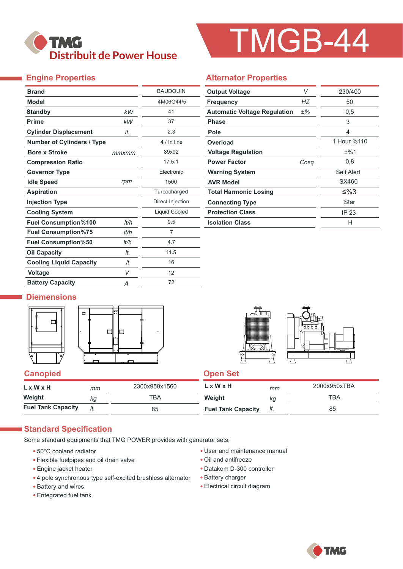

# TMGB-44

#### **Engine Properties**

| <b>Brand</b>                      |       | <b>BAUDOUIN</b>  |
|-----------------------------------|-------|------------------|
| <b>Model</b>                      |       | 4M06G44/5        |
| <b>Standby</b>                    | kW    | 41               |
| <b>Prime</b>                      | kW    | 37               |
| <b>Cylinder Displacement</b>      | It.   | 2.3              |
| <b>Number of Cylinders / Type</b> |       | 4 / In line      |
| <b>Bore x Stroke</b>              | mmxmm | 89x92            |
| <b>Compression Ratio</b>          |       | 17.5:1           |
| <b>Governor Type</b>              |       | Electronic       |
| <b>Idle Speed</b>                 | rpm   | 1500             |
| <b>Aspiration</b>                 |       | Turbocharged     |
| <b>Injection Type</b>             |       | Direct Injection |
| <b>Cooling System</b>             |       | Liquid Cooled    |
| <b>Fuel Consumption%100</b>       | lt/h  | 9.5              |
| <b>Fuel Consumption%75</b>        | lt/h  | 7                |
| <b>Fuel Consumption%50</b>        | lt/h  | 4.7              |
| <b>Oil Capacity</b>               | It.   | 11.5             |
| <b>Cooling Liquid Capacity</b>    | It.   | 16               |
| <b>Voltage</b>                    | V     | 12               |
| <b>Battery Capacity</b>           | Α     | 72               |

#### **Alternator Properties**

| <b>Output Voltage</b>               | V    | 230/400     |
|-------------------------------------|------|-------------|
| <b>Frequency</b>                    | НZ   | 50          |
| <b>Automatic Voltage Regulation</b> | ±%   | 0,5         |
| Phase                               |      | 3           |
| Pole                                |      | 4           |
| Overload                            |      | 1 Hour %110 |
| <b>Voltage Regulation</b>           |      | ±%1         |
| <b>Power Factor</b>                 | Cosa | 0,8         |
| <b>Warning System</b>               |      | Self Alert  |
| <b>AVR Model</b>                    |      | SX460       |
| <b>Total Harmonic Losing</b>        |      | ≤%3         |
| <b>Connecting Type</b>              |      | Star        |
| <b>Protection Class</b>             |      | IP 23       |
| <b>Isolation Class</b>              |      | н           |

#### **Diemensions**





#### **Canopied Canopied Canopied Canopied Canopied Canopied Canopied Canopied Canopied Canopied Canopied Canopied Canopied Canopied Canopied Canopied Canopied Canopied Canopied Canopied Canopied Canopied Canopied Canopied Canop**

| $L \times W \times H$     | mт | 2300x950x1560 | L x W x H                 | mm  | 2000x950xTBA |
|---------------------------|----|---------------|---------------------------|-----|--------------|
| Weight                    | kq | тва           | Weight                    | κg  | TBA          |
| <b>Fuel Tank Capacity</b> |    | 85            | <b>Fuel Tank Capacity</b> | It. | 85           |

#### **Standard Specification**

Some standard equipments that TMG POWER provides with generator sets;

- 50°C cooland radiator
- Flexible fuelpipes and oil drain valve
- Engine jacket heater
- 4 pole synchronous type self-excited brushless alternator
- Battery and wires
- Entegrated fuel tank
- User and maintenance manual
- Oil and antifreeze
- Datakom D-300 controller
- Battery charger
- Electrical circuit diagram